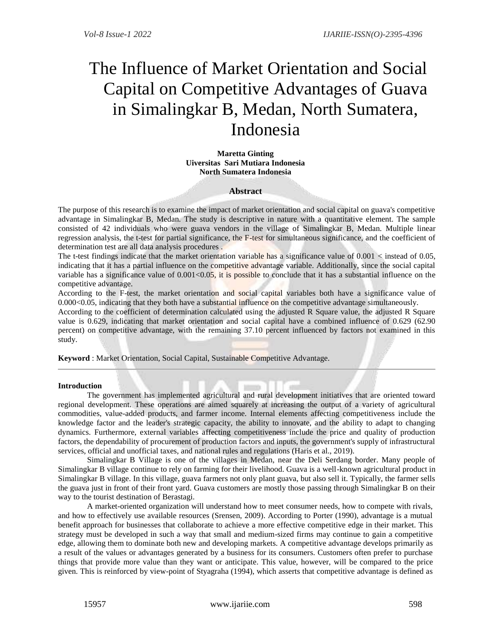# The Influence of Market Orientation and Social Capital on Competitive Advantages of Guava in Simalingkar B, Medan, North Sumatera, Indonesia

**Maretta Ginting Uiversitas Sari Mutiara Indonesia North Sumatera Indonesia**

# **Abstract**

The purpose of this research is to examine the impact of market orientation and social capital on guava's competitive advantage in Simalingkar B, Medan. The study is descriptive in nature with a quantitative element. The sample consisted of 42 individuals who were guava vendors in the village of Simalingkar B, Medan. Multiple linear regression analysis, the t-test for partial significance, the F-test for simultaneous significance, and the coefficient of determination test are all data analysis procedures .

The t-test findings indicate that the market orientation variable has a significance value of  $0.001 <$  instead of  $0.05$ , indicating that it has a partial influence on the competitive advantage variable. Additionally, since the social capital variable has a significance value of  $0.001<0.05$ , it is possible to conclude that it has a substantial influence on the competitive advantage.

According to the F-test, the market orientation and social capital variables both have a significance value of 0.000<0.05, indicating that they both have a substantial influence on the competitive advantage simultaneously.

According to the coefficient of determination calculated using the adjusted R Square value, the adjusted R Square value is 0.629, indicating that market orientation and social capital have a combined influence of 0.629 (62.90 percent) on competitive advantage, with the remaining 37.10 percent influenced by factors not examined in this study.

**Keyword** : Market Orientation, Social Capital, Sustainable Competitive Advantage.

## **Introduction**

The government has implemented agricultural and rural development initiatives that are oriented toward regional development. These operations are aimed squarely at increasing the output of a variety of agricultural commodities, value-added products, and farmer income. Internal elements affecting competitiveness include the knowledge factor and the leader's strategic capacity, the ability to innovate, and the ability to adapt to changing dynamics. Furthermore, external variables affecting competitiveness include the price and quality of production factors, the dependability of procurement of production factors and inputs, the government's supply of infrastructural services, official and unofficial taxes, and national rules and regulations (Haris et al., 2019).

Simalingkar B Village is one of the villages in Medan, near the Deli Serdang border. Many people of Simalingkar B village continue to rely on farming for their livelihood. Guava is a well-known agricultural product in Simalingkar B village. In this village, guava farmers not only plant guava, but also sell it. Typically, the farmer sells the guava just in front of their front yard. Guava customers are mostly those passing through Simalingkar B on their way to the tourist destination of Berastagi.

A market-oriented organization will understand how to meet consumer needs, how to compete with rivals, and how to effectively use available resources (Srensen, 2009). According to Porter (1990), advantage is a mutual benefit approach for businesses that collaborate to achieve a more effective competitive edge in their market. This strategy must be developed in such a way that small and medium-sized firms may continue to gain a competitive edge, allowing them to dominate both new and developing markets. A competitive advantage develops primarily as a result of the values or advantages generated by a business for its consumers. Customers often prefer to purchase things that provide more value than they want or anticipate. This value, however, will be compared to the price given. This is reinforced by view-point of Styagraha (1994), which asserts that competitive advantage is defined as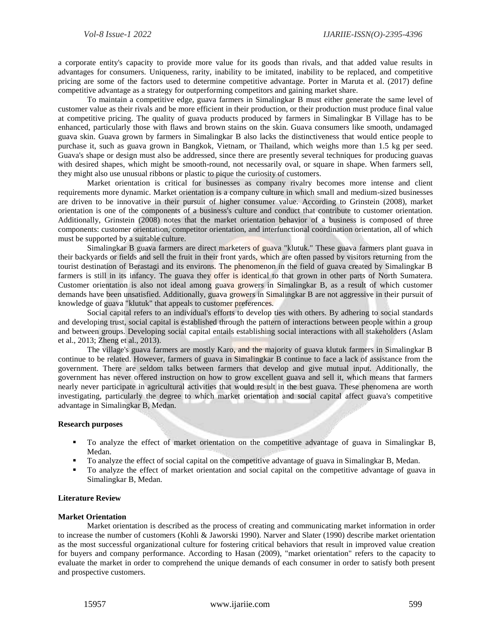a corporate entity's capacity to provide more value for its goods than rivals, and that added value results in advantages for consumers. Uniqueness, rarity, inability to be imitated, inability to be replaced, and competitive pricing are some of the factors used to determine competitive advantage. Porter in Maruta et al. (2017) define competitive advantage as a strategy for outperforming competitors and gaining market share.

To maintain a competitive edge, guava farmers in Simalingkar B must either generate the same level of customer value as their rivals and be more efficient in their production, or their production must produce final value at competitive pricing. The quality of guava products produced by farmers in Simalingkar B Village has to be enhanced, particularly those with flaws and brown stains on the skin. Guava consumers like smooth, undamaged guava skin. Guava grown by farmers in Simalingkar B also lacks the distinctiveness that would entice people to purchase it, such as guava grown in Bangkok, Vietnam, or Thailand, which weighs more than 1.5 kg per seed. Guava's shape or design must also be addressed, since there are presently several techniques for producing guavas with desired shapes, which might be smooth-round, not necessarily oval, or square in shape. When farmers sell, they might also use unusual ribbons or plastic to pique the curiosity of customers.

Market orientation is critical for businesses as company rivalry becomes more intense and client requirements more dynamic. Market orientation is a company culture in which small and medium-sized businesses are driven to be innovative in their pursuit of higher consumer value. According to Grinstein (2008), market orientation is one of the components of a business's culture and conduct that contribute to customer orientation. Additionally, Grinstein (2008) notes that the market orientation behavior of a business is composed of three components: customer orientation, competitor orientation, and interfunctional coordination orientation, all of which must be supported by a suitable culture.

Simalingkar B guava farmers are direct marketers of guava "klutuk." These guava farmers plant guava in their backyards or fields and sell the fruit in their front yards, which are often passed by visitors returning from the tourist destination of Berastagi and its environs. The phenomenon in the field of guava created by Simalingkar B farmers is still in its infancy. The guava they offer is identical to that grown in other parts of North Sumatera. Customer orientation is also not ideal among guava growers in Simalingkar B, as a result of which customer demands have been unsatisfied. Additionally, guava growers in Simalingkar B are not aggressive in their pursuit of knowledge of guava "klutuk" that appeals to customer preferences.

Social capital refers to an individual's efforts to develop ties with others. By adhering to social standards and developing trust, social capital is established through the pattern of interactions between people within a group and between groups. Developing social capital entails establishing social interactions with all stakeholders (Aslam et al., 2013; Zheng et al., 2013).

The village's guava farmers are mostly Karo, and the majority of guava klutuk farmers in Simalingkar B continue to be related. However, farmers of guava in Simalingkar B continue to face a lack of assistance from the government. There are seldom talks between farmers that develop and give mutual input. Additionally, the government has never offered instruction on how to grow excellent guava and sell it, which means that farmers nearly never participate in agricultural activities that would result in the best guava. These phenomena are worth investigating, particularly the degree to which market orientation and social capital affect guava's competitive advantage in Simalingkar B, Medan.

## **Research purposes**

- To analyze the effect of market orientation on the competitive advantage of guava in Simalingkar B, Medan.
- To analyze the effect of social capital on the competitive advantage of guava in Simalingkar B, Medan.
- To analyze the effect of market orientation and social capital on the competitive advantage of guava in Simalingkar B, Medan.

## **Literature Review**

### **Market Orientation**

Market orientation is described as the process of creating and communicating market information in order to increase the number of customers (Kohli & Jaworski 1990). Narver and Slater (1990) describe market orientation as the most successful organizational culture for fostering critical behaviors that result in improved value creation for buyers and company performance. According to Hasan (2009), "market orientation" refers to the capacity to evaluate the market in order to comprehend the unique demands of each consumer in order to satisfy both present and prospective customers.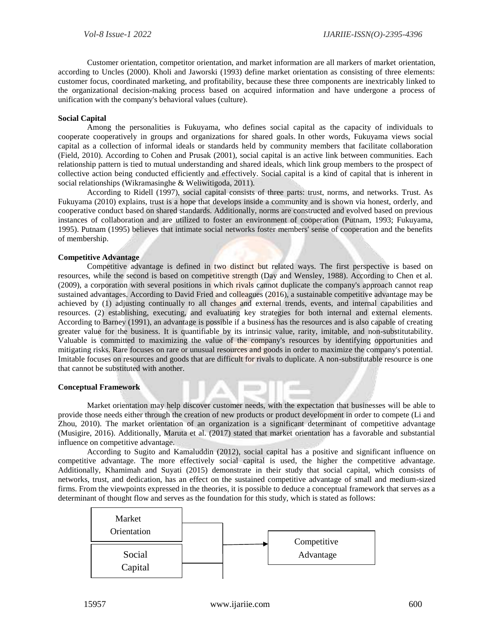Customer orientation, competitor orientation, and market information are all markers of market orientation, according to Uncles (2000). Kholi and Jaworski (1993) define market orientation as consisting of three elements: customer focus, coordinated marketing, and profitability, because these three components are inextricably linked to the organizational decision-making process based on acquired information and have undergone a process of unification with the company's behavioral values (culture).

## **Social Capital**

Among the personalities is Fukuyama, who defines social capital as the capacity of individuals to cooperate cooperatively in groups and organizations for shared goals. In other words, Fukuyama views social capital as a collection of informal ideals or standards held by community members that facilitate collaboration (Field, 2010). According to Cohen and Prusak (2001), social capital is an active link between communities. Each relationship pattern is tied to mutual understanding and shared ideals, which link group members to the prospect of collective action being conducted efficiently and effectively. Social capital is a kind of capital that is inherent in social relationships (Wikramasinghe & Weliwitigoda, 2011).

According to Ridell (1997), social capital consists of three parts: trust, norms, and networks. Trust. As Fukuyama (2010) explains, trust is a hope that develops inside a community and is shown via honest, orderly, and cooperative conduct based on shared standards. Additionally, norms are constructed and evolved based on previous instances of collaboration and are utilized to foster an environment of cooperation (Putnam, 1993; Fukuyama, 1995). Putnam (1995) believes that intimate social networks foster members' sense of cooperation and the benefits of membership.

## **Competitive Advantage**

Competitive advantage is defined in two distinct but related ways. The first perspective is based on resources, while the second is based on competitive strength (Day and Wensley, 1988). According to Chen et al. (2009), a corporation with several positions in which rivals cannot duplicate the company's approach cannot reap sustained advantages. According to David Fried and colleagues (2016), a sustainable competitive advantage may be achieved by (1) adjusting continually to all changes and external trends, events, and internal capabilities and resources. (2) establishing, executing, and evaluating key strategies for both internal and external elements. According to Barney (1991), an advantage is possible if a business has the resources and is also capable of creating greater value for the business. It is quantifiable by its intrinsic value, rarity, imitable, and non-substitutability. Valuable is committed to maximizing the value of the company's resources by identifying opportunities and mitigating risks. Rare focuses on rare or unusual resources and goods in order to maximize the company's potential. Imitable focuses on resources and goods that are difficult for rivals to duplicate. A non-substitutable resource is one that cannot be substituted with another.

### **Conceptual Framework**

Market orientation may help discover customer needs, with the expectation that businesses will be able to provide those needs either through the creation of new products or product development in order to compete (Li and Zhou, 2010). The market orientation of an organization is a significant determinant of competitive advantage (Musigire, 2016). Additionally, Maruta et al. (2017) stated that market orientation has a favorable and substantial influence on competitive advantage.

According to Sugito and Kamaluddin (2012), social capital has a positive and significant influence on competitive advantage. The more effectively social capital is used, the higher the competitive advantage. Additionally, Khamimah and Suyati (2015) demonstrate in their study that social capital, which consists of networks, trust, and dedication, has an effect on the sustained competitive advantage of small and medium-sized firms. From the viewpoints expressed in the theories, it is possible to deduce a conceptual framework that serves as a determinant of thought flow and serves as the foundation for this study, which is stated as follows:

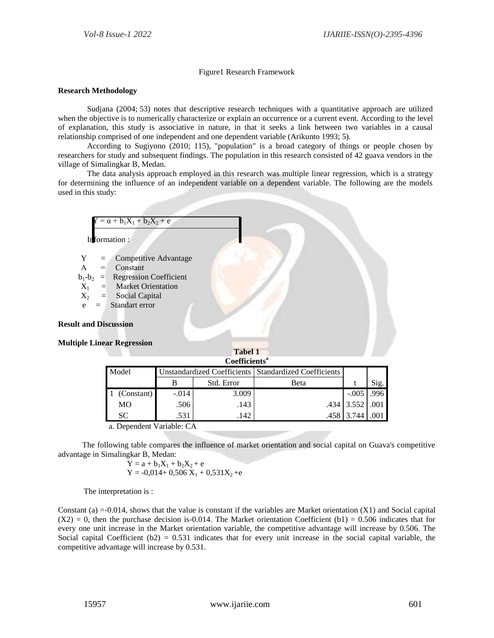# Figure1 Research Framework

# **Research Methodology**

Sudjana (2004; 53) notes that descriptive research techniques with a quantitative approach are utilized when the objective is to numerically characterize or explain an occurrence or a current event. According to the level of explanation, this study is associative in nature, in that it seeks a link between two variables in a causal relationship comprised of one independent and one dependent variable (Arikunto 1993; 5).

According to Sugiyono (2010; 115), "population" is a broad category of things or people chosen by researchers for study and subsequent findings. The population in this research consisted of 42 guava vendors in the village of Simalingkar B, Medan.

The data analysis approach employed in this research was multiple linear regression, which is a strategy for determining the influence of an independent variable on a dependent variable. The following are the models used in this study:



**Coefficients<sup>a</sup>**

| Coemacins                                                        |                                                         |       |      |                 |      |  |  |
|------------------------------------------------------------------|---------------------------------------------------------|-------|------|-----------------|------|--|--|
| Model                                                            | Unstandardized Coefficients   Standardized Coefficients |       |      |                 |      |  |  |
|                                                                  | Std. Error                                              |       | Beta |                 | Sig. |  |  |
| (Constant)                                                       | $-.014$                                                 | 3.009 |      | $-.005$ .996    |      |  |  |
| MO                                                               | .506                                                    | .143  |      | .434 3.552 .001 |      |  |  |
| SC                                                               | .531                                                    | 142   |      | .458 3.744      |      |  |  |
| $\mathbf{D}$ $\mathbf{I}$ $\mathbf{M}$ $\mathbf{I}$ $\mathbf{I}$ |                                                         |       |      |                 |      |  |  |

a. Dependent Variable: CA

 The following table compares the influence of market orientation and social capital on Guava's competitive advantage in Simalingkar B, Medan:

 $Y = a + b_1X_1 + b_2X_2 + e$  $Y = -0.014 + 0.506 X_1 + 0.531X_2 + e$ 

The interpretation is :

Constant (a)  $=0.014$ , shows that the value is constant if the variables are Market orientation (X1) and Social capital  $(X2) = 0$ , then the purchase decision is-0.014. The Market orientation Coefficient (b1) = 0.506 indicates that for every one unit increase in the Market orientation variable, the competitive advantage will increase by 0.506. The Social capital Coefficient  $(b2) = 0.531$  indicates that for every unit increase in the social capital variable, the competitive advantage will increase by 0.531.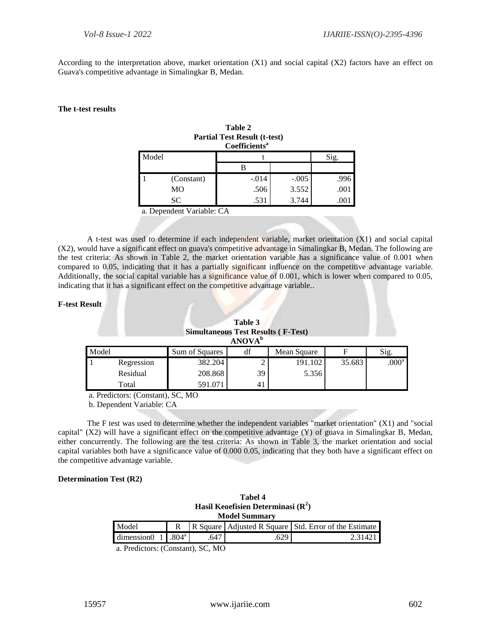According to the interpretation above, market orientation (X1) and social capital (X2) factors have an effect on Guava's competitive advantage in Simalingkar B, Medan.

## **The t-test results**

| Table 2                             |
|-------------------------------------|
| <b>Partial Test Result (t-test)</b> |
| Coefficients <sup>a</sup>           |

|       |            | ------------ |         |      |
|-------|------------|--------------|---------|------|
| Model |            |              | Sig.    |      |
|       |            |              |         |      |
|       | (Constant) | $-.014$      | $-.005$ | .996 |
|       | MO         | .506         | 3.552   | .001 |
|       | SС         | .531         | 3.744   | .001 |
|       |            |              |         |      |

a. Dependent Variable: CA

A t-test was used to determine if each independent variable, market orientation (X1) and social capital (X2), would have a significant effect on guava's competitive advantage in Simalingkar B, Medan. The following are the test criteria: As shown in Table 2, the market orientation variable has a significance value of 0.001 when compared to 0.05, indicating that it has a partially significant influence on the competitive advantage variable. Additionally, the social capital variable has a significance value of 0.001, which is lower when compared to 0.05, indicating that it has a significant effect on the competitive advantage variable..

## **F-test Result**

| Table 3<br><b>Simultaneous Test Results (F-Test)</b><br><b>ANOVA</b> <sup>b</sup> |            |                |    |             |        |                   |
|-----------------------------------------------------------------------------------|------------|----------------|----|-------------|--------|-------------------|
| Model                                                                             |            | Sum of Squares | df | Mean Square |        | Sig.              |
|                                                                                   | Regression | 382.204        |    | 191.102     | 35.683 | .000 <sup>a</sup> |
|                                                                                   | Residual   | 208.868        | 39 | 5.356       |        |                   |
|                                                                                   | Total      | 591.071        | 41 |             |        |                   |

a. Predictors: (Constant), SC, MO

b. Dependent Variable: CA

The F test was used to determine whether the independent variables "market orientation" (X1) and "social capital" (X2) will have a significant effect on the competitive advantage (Y) of guava in Simalingkar B, Medan, either concurrently. The following are the test criteria: As shown in Table 3, the market orientation and social capital variables both have a significance value of 0.000 0.05, indicating that they both have a significant effect on the competitive advantage variable.

## **Determination Test (R2)**

| Tabel 4<br>Hasil Keoefisien Determinasi $(R2)$<br><b>Model Summary</b> |   |      |      |                                                           |  |  |
|------------------------------------------------------------------------|---|------|------|-----------------------------------------------------------|--|--|
| Model                                                                  | R |      |      | R Square   Adjusted R Square   Std. Error of the Estimate |  |  |
| dimension $0 \quad 1 \quad .804$ <sup>a</sup>                          |   | .647 | .629 | 2.31421                                                   |  |  |

a. Predictors: (Constant), SC, MO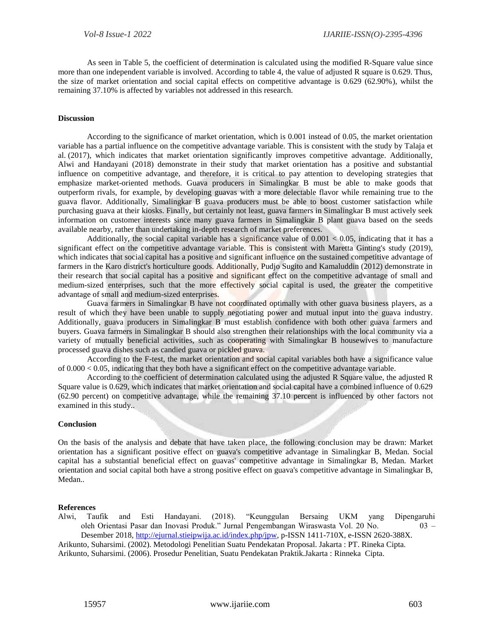As seen in Table 5, the coefficient of determination is calculated using the modified R-Square value since more than one independent variable is involved. According to table 4, the value of adjusted R square is 0.629. Thus, the size of market orientation and social capital effects on competitive advantage is 0.629 (62.90%), whilst the remaining 37.10% is affected by variables not addressed in this research.

## **Discussion**

According to the significance of market orientation, which is 0.001 instead of 0.05, the market orientation variable has a partial influence on the competitive advantage variable. This is consistent with the study by Talaja et al. (2017), which indicates that market orientation significantly improves competitive advantage. Additionally, Alwi and Handayani (2018) demonstrate in their study that market orientation has a positive and substantial influence on competitive advantage, and therefore, it is critical to pay attention to developing strategies that emphasize market-oriented methods. Guava producers in Simalingkar B must be able to make goods that outperform rivals, for example, by developing guavas with a more delectable flavor while remaining true to the guava flavor. Additionally, Simalingkar B guava producers must be able to boost customer satisfaction while purchasing guava at their kiosks. Finally, but certainly not least, guava farmers in Simalingkar B must actively seek information on customer interests since many guava farmers in Simalingkar B plant guava based on the seeds available nearby, rather than undertaking in-depth research of market preferences.

Additionally, the social capital variable has a significance value of  $0.001 < 0.05$ , indicating that it has a significant effect on the competitive advantage variable. This is consistent with Maretta Ginting's study (2019), which indicates that social capital has a positive and significant influence on the sustained competitive advantage of farmers in the Karo district's horticulture goods. Additionally, Pudjo Sugito and Kamaluddin (2012) demonstrate in their research that social capital has a positive and significant effect on the competitive advantage of small and medium-sized enterprises, such that the more effectively social capital is used, the greater the competitive advantage of small and medium-sized enterprises.

Guava farmers in Simalingkar B have not coordinated optimally with other guava business players, as a result of which they have been unable to supply negotiating power and mutual input into the guava industry. Additionally, guava producers in Simalingkar B must establish confidence with both other guava farmers and buyers. Guava farmers in Simalingkar B should also strengthen their relationships with the local community via a variety of mutually beneficial activities, such as cooperating with Simalingkar B housewives to manufacture processed guava dishes such as candied guava or pickled guava.

According to the F-test, the market orientation and social capital variables both have a significance value of  $0.000 < 0.05$ , indicating that they both have a significant effect on the competitive advantage variable.

According to the coefficient of determination calculated using the adjusted R Square value, the adjusted R Square value is 0.629, which indicates that market orientation and social capital have a combined influence of 0.629 (62.90 percent) on competitive advantage, while the remaining 37.10 percent is influenced by other factors not examined in this study..

## **Conclusion**

On the basis of the analysis and debate that have taken place, the following conclusion may be drawn: Market orientation has a significant positive effect on guava's competitive advantage in Simalingkar B, Medan. Social capital has a substantial beneficial effect on guavas' competitive advantage in Simalingkar B, Medan. Market orientation and social capital both have a strong positive effect on guava's competitive advantage in Simalingkar B, Medan..

## **References**

Alwi, Taufik and Esti Handayani. (2018). "Keunggulan Bersaing UKM yang Dipengaruhi oleh Orientasi Pasar dan Inovasi Produk." Jurnal Pengembangan Wiraswasta Vol. 20 No. 03 – Desember 2018, [http://ejurnal.stieipwija.ac.id/index.php/jpw,](http://ejurnal.stieipwija.ac.id/index.php/jpw) p-ISSN 1411-710X, e-ISSN 2620-388X.

Arikunto, Suharsimi. (2002). Metodologi Penelitian Suatu Pendekatan Proposal. Jakarta : PT. Rineka Cipta.

Arikunto, Suharsimi. (2006). Prosedur Penelitian, Suatu Pendekatan Praktik.Jakarta : Rinneka Cipta.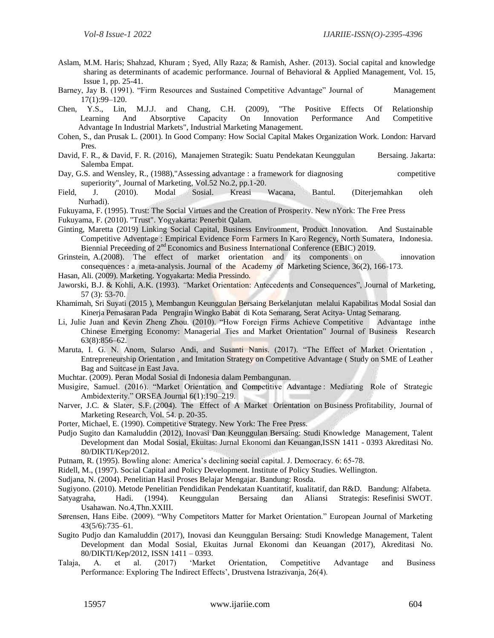- Aslam, M.M. Haris; Shahzad, Khuram ; Syed, Ally Raza; & Ramish, Asher. (2013). Social capital and knowledge sharing as determinants of academic performance. Journal of Behavioral & Applied Management, Vol. 15, Issue 1, pp. 25-41.
- Barney, Jay B. (1991). "Firm Resources and Sustained Competitive Advantage" Journal of Management 17(1):99–120.
- Chen, Y.S., Lin, M.J.J. and Chang, C.H. (2009), "The Positive Effects Of Relationship Learning And Absorptive Capacity On Innovation Performance And Competitive Advantage In Industrial Markets", Industrial Marketing Management.
- Cohen, S., dan Prusak L. (2001). In Good Company: How Social Capital Makes Organization Work. London: Harvard Pres.
- David, F. R., & David, F. R. (2016), Manajemen Strategik: Suatu Pendekatan Keunggulan Bersaing. Jakarta: Salemba Empat.
- Day, G.S. and Wensley, R., (1988),"Assessing advantage : a framework for diagnosing competitive superiority", Journal of Marketing, Vol.52 No.2, pp.1-20.
- Field, J. (2010). Modal Sosial. Kreasi Wacana, Bantul. (Diterjemahkan oleh Nurhadi).
- Fukuyama, F. (1995). Trust: The Social Virtues and the Creation of Prosperity. New nYork: The Free Press
- Fukuyama, F. (2010). "Trust". Yogyakarta: Penerbit Qalam.
- Ginting, Maretta (2019) Linking Social Capital, Business Environment, Product Innovation. And Sustainable Competitive Adventage : Empirical Evidence Form Farmers In Karo Regency, North Sumatera, Indonesia. Biennial Preceeding of 2<sup>nd</sup> Economics and Business International Conference (EBIC) 2019.
- Grinstein, A.(2008). The effect of market orientation and its components on innovation consequences : a meta-analysis. Journal of the Academy of Marketing Science, 36(2), 166-173.
- Hasan, Ali. (2009). Marketing. Yogyakarta: Media Pressindo.
- Jaworski, B.J. & Kohli, A.K. (1993). *"*Market Orientation: Antecedents and Consequences", Journal of Marketing, 57 (3): 53-70.
- Khamimah, Sri Suyati (2015 ), Membangun Keunggulan Bersaing Berkelanjutan melalui Kapabilitas Modal Sosial dan Kinerja Pemasaran Pada Pengrajin Wingko Babat di Kota Semarang, Serat Acitya- Untag Semarang.
- Li, Julie Juan and Kevin Zheng Zhou. (2010). "How Foreign Firms Achieve Competitive Advantage inthe Chinese Emerging Economy: Managerial Ties and Market Orientation" Journal of Business Research 63(8):856–62.
- Maruta, I. G. N. Anom, Sularso Andi, and Susanti Nanis. (2017). "The Effect of Market Orientation , Entrepreneurship Orientation , and Imitation Strategy on Competitive Advantage ( Study on SME of Leather Bag and Suitcase in East Java.
- Muchtar. (2009). Peran Modal Sosial di Indonesia dalam Pembangunan.
- Musigire, Samuel. (2016). "Market Orientation and Competitive Advantage : Mediating Role of Strategic Ambidexterity." ORSEA Journal 6(1):190–219.
- Narver, J.C. & Slater, S.F. (2004). The Effect of A Market Orientation on Business Profitability, Journal of Marketing Research, Vol. 54. p. 20-35.

Porter, Michael, E. (1990). Competitive Strategy. New York: The Free Press.

- Pudjo Sugito dan Kamaluddin (2012), Inovasi Dan Keunggulan Bersaing: Studi Knowledge Management, Talent Development dan Modal Sosial, Ekuitas: Jurnal Ekonomi dan Keuangan,ISSN 1411 - 0393 Akreditasi No. 80/DIKTI/Kep/2012.
- Putnam, R. (1995). Bowling alone: America's declining social capital. J. Democracy. 6: 65-78.
- Ridell, M., (1997). Social Capital and Policy Development. Institute of Policy Studies. Wellington.
- Sudjana, N. (2004). Penelitian Hasil Proses Belajar Mengajar. Bandung: Rosda.
- Sugiyono. (2010). Metode Penelitian Pendidikan Pendekatan Kuantitatif, kualitatif, dan R&D. Bandung: Alfabeta.
- Satyagraha, Hadi. (1994). Keunggulan Bersaing dan Aliansi Strategis: Resefinisi SWOT. Usahawan. No.4,Thn.XXIII.
- Sørensen, Hans Eibe. (2009). "Why Competitors Matter for Market Orientation." European Journal of Marketing 43(5/6):735–61.
- Sugito Pudjo dan Kamaluddin (2017), Inovasi dan Keunggulan Bersaing: Studi Knowledge Management, Talent Development dan Modal Sosial, Ekuitas Jurnal Ekonomi dan Keuangan (2017), Akreditasi No. 80/DIKTI/Kep/2012, ISSN 1411 – 0393.
- Talaja, A. et al. (2017) 'Market Orientation, Competitive Advantage and Business Performance: Exploring The Indirect Effects', Drustvena Istrazivanja, 26(4).